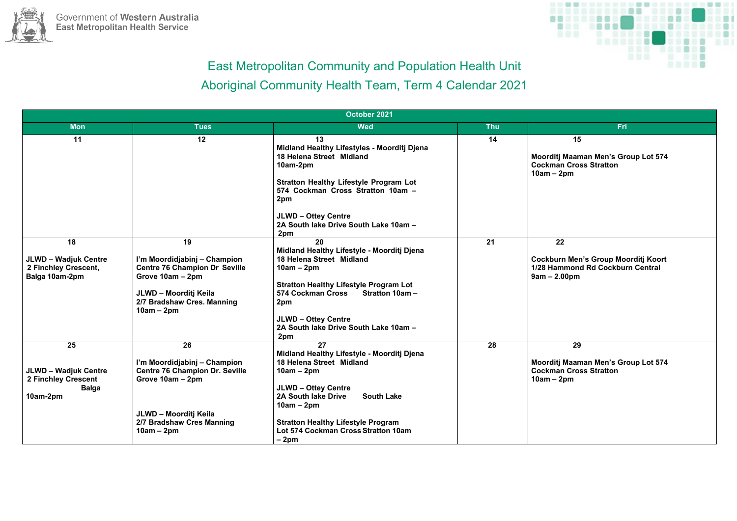



| October 2021                                                                         |                                                                                                                                                                       |                                                                                                                                                                                                                                                                                             |            |                                                                                                        |  |  |  |
|--------------------------------------------------------------------------------------|-----------------------------------------------------------------------------------------------------------------------------------------------------------------------|---------------------------------------------------------------------------------------------------------------------------------------------------------------------------------------------------------------------------------------------------------------------------------------------|------------|--------------------------------------------------------------------------------------------------------|--|--|--|
| <b>Mon</b>                                                                           | <b>Tues</b>                                                                                                                                                           | <b>Wed</b>                                                                                                                                                                                                                                                                                  | <b>Thu</b> | Fri                                                                                                    |  |  |  |
| 11                                                                                   | 12                                                                                                                                                                    | 13<br>Midland Healthy Lifestyles - Moorditj Djena<br>18 Helena Street Midland<br>10am-2pm<br><b>Stratton Healthy Lifestyle Program Lot</b><br>574 Cockman Cross Stratton 10am -<br>2pm<br><b>JLWD - Ottey Centre</b><br>2A South lake Drive South Lake 10am -<br>2pm                        | 14         | 15<br>Moorditj Maaman Men's Group Lot 574<br><b>Cockman Cross Stratton</b><br>$10am - 2pm$             |  |  |  |
| 18<br><b>JLWD - Wadjuk Centre</b><br>2 Finchley Crescent,<br>Balga 10am-2pm          | 19<br>I'm Moordidjabinj - Champion<br><b>Centre 76 Champion Dr Seville</b><br>Grove 10am - 2pm<br>JLWD - Moorditj Keila<br>2/7 Bradshaw Cres. Manning<br>$10am - 2pm$ | 20<br>Midland Healthy Lifestyle - Moorditj Djena<br>18 Helena Street Midland<br>$10am - 2pm$<br><b>Stratton Healthy Lifestyle Program Lot</b><br>574 Cockman Cross<br><b>Stratton 10am -</b><br>2pm<br><b>JLWD - Ottey Centre</b><br>2A South lake Drive South Lake 10am -<br>2pm           | 21         | 22<br><b>Cockburn Men's Group Moorditj Koort</b><br>1/28 Hammond Rd Cockburn Central<br>$9am - 2.00pm$ |  |  |  |
| 25<br><b>JLWD - Wadjuk Centre</b><br>2 Finchley Crescent<br><b>Balga</b><br>10am-2pm | 26<br>I'm Moordidjabinj - Champion<br><b>Centre 76 Champion Dr. Seville</b><br>Grove 10am - 2pm<br>JLWD - Moorditj Keila<br>2/7 Bradshaw Cres Manning<br>$10am - 2pm$ | 27<br>Midland Healthy Lifestyle - Moorditj Djena<br>18 Helena Street Midland<br>$10am - 2pm$<br><b>JLWD - Ottey Centre</b><br><b>2A South lake Drive</b><br><b>South Lake</b><br>$10am - 2pm$<br><b>Stratton Healthy Lifestyle Program</b><br>Lot 574 Cockman Cross Stratton 10am<br>$-2pm$ | 28         | 29<br>Moorditj Maaman Men's Group Lot 574<br><b>Cockman Cross Stratton</b><br>$10am - 2pm$             |  |  |  |

# East Metropolitan Community and Population Health Unit Aboriginal Community Health Team, Term 4 Calendar 2021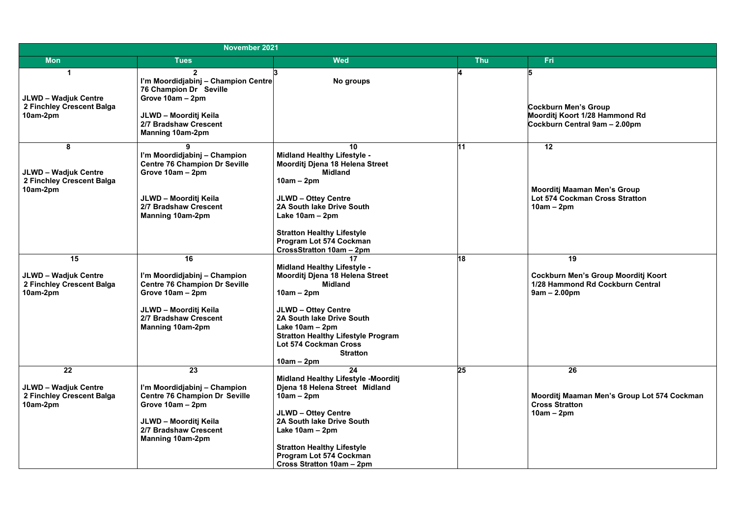#### **Cockburn Men's Group Moorditj Koort 1/28 Hammond Rd Cockburn Central 9am – 2.00pm**

#### **Moorditj Maaman Men's Group Lot 574 Cockman Cross Stratton 10am – 2pm**

| November 2021                                            |                                                                                          |                                                                       |            |                                      |  |  |
|----------------------------------------------------------|------------------------------------------------------------------------------------------|-----------------------------------------------------------------------|------------|--------------------------------------|--|--|
| <b>Mon</b>                                               | <b>Tues</b>                                                                              | <b>Wed</b>                                                            | <b>Thu</b> | <b>Fri</b>                           |  |  |
| <b>JLWD - Wadjuk Centre</b><br>2 Finchley Crescent Balga | I'm Moordidjabinj - Champion Centre<br><b>76 Champion Dr Seville</b><br>Grove 10am - 2pm | 3<br>No groups                                                        |            | 5<br>Cockburn Mer                    |  |  |
| 10am-2pm                                                 | JLWD - Moorditj Keila<br>2/7 Bradshaw Crescent<br><b>Manning 10am-2pm</b>                |                                                                       |            | <b>Moorditj Koor</b><br>Cockburn Cer |  |  |
| 8                                                        | 9                                                                                        | 10                                                                    | 111        | 12                                   |  |  |
|                                                          | I'm Moordidjabinj – Champion<br><b>Centre 76 Champion Dr Seville</b>                     | <b>Midland Healthy Lifestyle -</b><br>Moorditj Djena 18 Helena Street |            |                                      |  |  |
| <b>JLWD - Wadjuk Centre</b>                              | Grove 10am - 2pm                                                                         | <b>Midland</b>                                                        |            |                                      |  |  |
| 2 Finchley Crescent Balga                                |                                                                                          | $10am - 2pm$                                                          |            |                                      |  |  |
| 10am-2pm                                                 |                                                                                          |                                                                       |            | <b>Moorditj Maa</b>                  |  |  |
|                                                          | JLWD - Moorditj Keila                                                                    | <b>JLWD - Ottey Centre</b>                                            |            | Lot 574 Cock                         |  |  |
|                                                          | 2/7 Bradshaw Crescent                                                                    | 2A South lake Drive South<br>Lake $10am - 2pm$                        |            | $10am - 2pm$                         |  |  |
|                                                          | <b>Manning 10am-2pm</b>                                                                  |                                                                       |            |                                      |  |  |
|                                                          |                                                                                          | <b>Stratton Healthy Lifestyle</b>                                     |            |                                      |  |  |
|                                                          |                                                                                          | <b>Program Lot 574 Cockman</b>                                        |            |                                      |  |  |
|                                                          |                                                                                          | CrossStratton 10am - 2pm                                              |            |                                      |  |  |
| 15                                                       | 16                                                                                       | 17                                                                    | 18         | 19                                   |  |  |
| <b>JLWD - Wadjuk Centre</b>                              | I'm Moordidjabinj – Champion                                                             | <b>Midland Healthy Lifestyle -</b><br>Moorditj Djena 18 Helena Street |            | <b>Cockburn Me</b>                   |  |  |
| 2 Finchley Crescent Balga                                | <b>Centre 76 Champion Dr Seville</b>                                                     | <b>Midland</b>                                                        |            | 1/28 Hammor                          |  |  |
| 10am-2pm                                                 | Grove 10am - 2pm                                                                         | $10am - 2pm$                                                          |            | $9am - 2.00pr$                       |  |  |
|                                                          |                                                                                          |                                                                       |            |                                      |  |  |
|                                                          | JLWD - Moorditj Keila<br>2/7 Bradshaw Crescent                                           | <b>JLWD - Ottey Centre</b><br>2A South lake Drive South               |            |                                      |  |  |
|                                                          | <b>Manning 10am-2pm</b>                                                                  | Lake $10am - 2pm$                                                     |            |                                      |  |  |
|                                                          |                                                                                          | <b>Stratton Healthy Lifestyle Program</b>                             |            |                                      |  |  |
|                                                          |                                                                                          | <b>Lot 574 Cockman Cross</b>                                          |            |                                      |  |  |
|                                                          |                                                                                          | <b>Stratton</b>                                                       |            |                                      |  |  |
| 22                                                       | 23                                                                                       | $10am - 2pm$<br>24                                                    | 25         | 26                                   |  |  |
|                                                          |                                                                                          | <b>Midland Healthy Lifestyle -Moorditj</b>                            |            |                                      |  |  |
| <b>JLWD - Wadjuk Centre</b>                              | I'm Moordidjabinj – Champion                                                             | Djena 18 Helena Street Midland                                        |            |                                      |  |  |
| 2 Finchley Crescent Balga                                | <b>Centre 76 Champion Dr Seville</b>                                                     | $10am - 2pm$                                                          |            | <b>Moorditj Maa</b>                  |  |  |
| 10am-2pm                                                 | Grove 10am - 2pm                                                                         |                                                                       |            | <b>Cross Stratto</b>                 |  |  |
|                                                          | JLWD - Moorditj Keila                                                                    | <b>JLWD - Ottey Centre</b><br>2A South lake Drive South               |            | $10am - 2pm$                         |  |  |
|                                                          | 2/7 Bradshaw Crescent                                                                    | Lake $10am - 2pm$                                                     |            |                                      |  |  |
|                                                          | <b>Manning 10am-2pm</b>                                                                  |                                                                       |            |                                      |  |  |
|                                                          |                                                                                          | <b>Stratton Healthy Lifestyle</b>                                     |            |                                      |  |  |
|                                                          |                                                                                          | <b>Program Lot 574 Cockman</b>                                        |            |                                      |  |  |
|                                                          |                                                                                          | Cross Stratton 10am - 2pm                                             |            |                                      |  |  |

**Cockburn Men's Group Moorditj Koort 1/28 Hammond Rd Cockburn Central 9am – 2.00pm**

**Moorditj Maaman Men's Group Lot 574 Cockman Cross Stratton 10am – 2pm**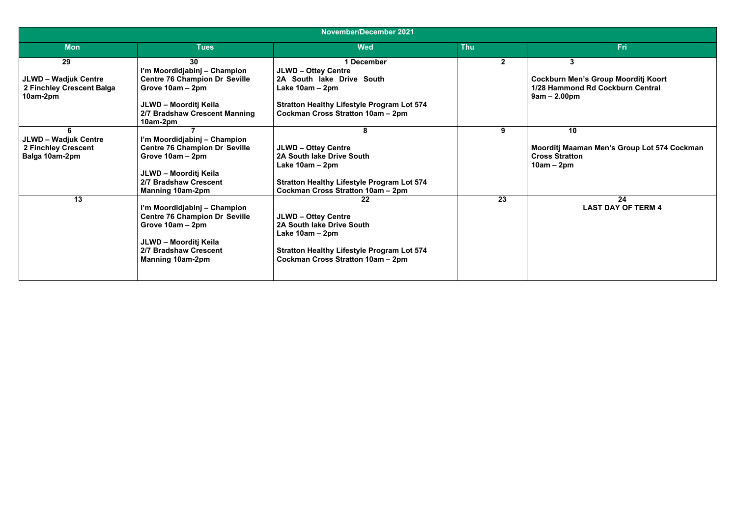| <b>November/December 2021</b>                                               |                                                                                                                                                                       |                                                                                                                                                                                      |                |                                                                                                                  |  |  |  |  |
|-----------------------------------------------------------------------------|-----------------------------------------------------------------------------------------------------------------------------------------------------------------------|--------------------------------------------------------------------------------------------------------------------------------------------------------------------------------------|----------------|------------------------------------------------------------------------------------------------------------------|--|--|--|--|
| <b>Mon</b>                                                                  | <b>Tues</b>                                                                                                                                                           | <b>Wed</b>                                                                                                                                                                           | <b>Thu</b>     | <b>Fri</b>                                                                                                       |  |  |  |  |
| 29<br><b>JLWD - Wadjuk Centre</b><br>2 Finchley Crescent Balga<br>10am-2pm  | 30<br>I'm Moordidjabinj - Champion<br><b>Centre 76 Champion Dr Seville</b><br>Grove 10am - 2pm<br>JLWD - Moorditj Keila<br>2/7 Bradshaw Crescent Manning<br>10am-2pm  | 1 December<br><b>JLWD - Ottey Centre</b><br>2A South lake Drive South<br>Lake $10am - 2pm$<br><b>Stratton Healthy Lifestyle Program Lot 574</b><br>Cockman Cross Stratton 10am - 2pm | $\overline{2}$ | $\mathbf{3}$<br><b>Cockburn Men's Group Moorditj Koort</b><br>1/28 Hammond Rd Cockburn Central<br>$9am - 2.00pm$ |  |  |  |  |
| <b>JLWD - Wadjuk Centre</b><br><b>2 Finchley Crescent</b><br>Balga 10am-2pm | I'm Moordidjabinj – Champion<br><b>Centre 76 Champion Dr Seville</b><br>Grove 10am - 2pm<br>JLWD - Moorditj Keila<br>2/7 Bradshaw Crescent<br><b>Manning 10am-2pm</b> | <b>JLWD - Ottey Centre</b><br>2A South lake Drive South<br>Lake $10am - 2pm$<br><b>Stratton Healthy Lifestyle Program Lot 574</b><br>Cockman Cross Stratton 10am - 2pm               | 9              | 10<br>Moorditj Maaman Men's Group Lot 574 Cockman<br><b>Cross Stratton</b><br>$10am - 2pm$                       |  |  |  |  |
| 13                                                                          | I'm Moordidjabinj - Champion<br><b>Centre 76 Champion Dr Seville</b><br>Grove 10am - 2pm<br>JLWD - Moorditj Keila<br>2/7 Bradshaw Crescent<br><b>Manning 10am-2pm</b> | 22<br><b>JLWD - Ottey Centre</b><br>2A South lake Drive South<br>Lake $10am - 2pm$<br><b>Stratton Healthy Lifestyle Program Lot 574</b><br>Cockman Cross Stratton 10am - 2pm         | 23             | 24<br><b>LAST DAY OF TERM 4</b>                                                                                  |  |  |  |  |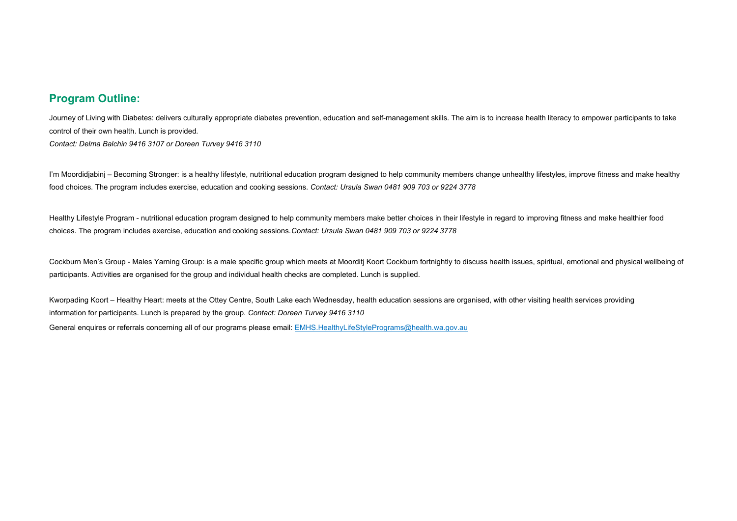## **Program Outline:**

Journey of Living with Diabetes: delivers culturally appropriate diabetes prevention, education and self-management skills. The aim is to increase health literacy to empower participants to take control of their own health. Lunch is provided*. Contact: Delma Balchin 9416 3107 or Doreen Turvey 9416 3110*

I'm Moordidjabinj – Becoming Stronger: is a healthy lifestyle, nutritional education program designed to help community members change unhealthy lifestyles, improve fitness and make healthy food choices. The program includes exercise, education and cooking sessions. *Contact: Ursula Swan 0481 909 703 or 9224 3778*

Healthy Lifestyle Program - nutritional education program designed to help community members make better choices in their lifestyle in regard to improving fitness and make healthier food choices. The program includes exercise, education and cooking sessions.*Contact: Ursula Swan 0481 909 703 or 9224 3778*

Cockburn Men's Group - Males Yarning Group: is a male specific group which meets at Moorditj Koort Cockburn fortnightly to discuss health issues, spiritual, emotional and physical wellbeing of participants. Activities are organised for the group and individual health checks are completed. Lunch is supplied.

Kworpading Koort – Healthy Heart: meets at the Ottey Centre, South Lake each Wednesday, health education sessions are organised, with other visiting health services providing information for participants. Lunch is prepared by the group. *Contact: Doreen Turvey 9416 3110*

General enquires or referrals concerning all of our programs please email: [EMHS.HealthyLifeStylePrograms@health.wa.gov.au](mailto:EMHS.HealthyLifeStylePrograms@health.wa.gov.au)